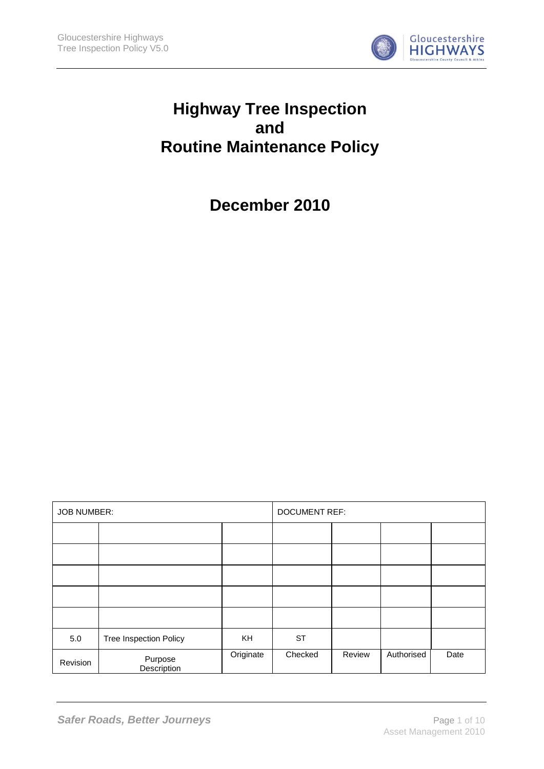

# **Highway Tree Inspection and Routine Maintenance Policy**

**December 2010**

| <b>JOB NUMBER:</b> |                               |           | <b>DOCUMENT REF:</b> |        |            |      |
|--------------------|-------------------------------|-----------|----------------------|--------|------------|------|
|                    |                               |           |                      |        |            |      |
|                    |                               |           |                      |        |            |      |
|                    |                               |           |                      |        |            |      |
|                    |                               |           |                      |        |            |      |
|                    |                               |           |                      |        |            |      |
| 5.0                | <b>Tree Inspection Policy</b> | <b>KH</b> | <b>ST</b>            |        |            |      |
| Revision           | Purpose<br>Description        | Originate | Checked              | Review | Authorised | Date |

**Safer Roads, Better Journeys Page 1 of 10**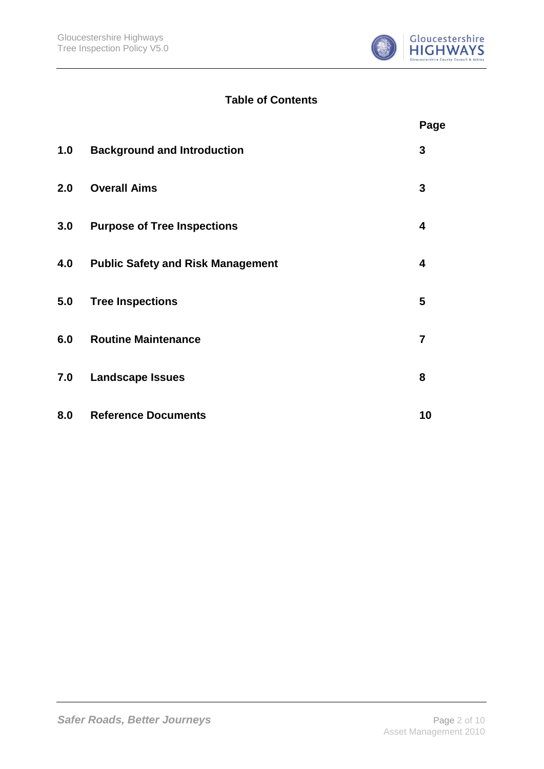

# **Table of Contents**

|     |                                          | Page           |
|-----|------------------------------------------|----------------|
| 1.0 | <b>Background and Introduction</b>       | 3              |
| 2.0 | <b>Overall Aims</b>                      | 3              |
| 3.0 | <b>Purpose of Tree Inspections</b>       | 4              |
| 4.0 | <b>Public Safety and Risk Management</b> | 4              |
| 5.0 | <b>Tree Inspections</b>                  | 5              |
| 6.0 | <b>Routine Maintenance</b>               | $\overline{7}$ |
| 7.0 | <b>Landscape Issues</b>                  | 8              |
| 8.0 | <b>Reference Documents</b>               | 10             |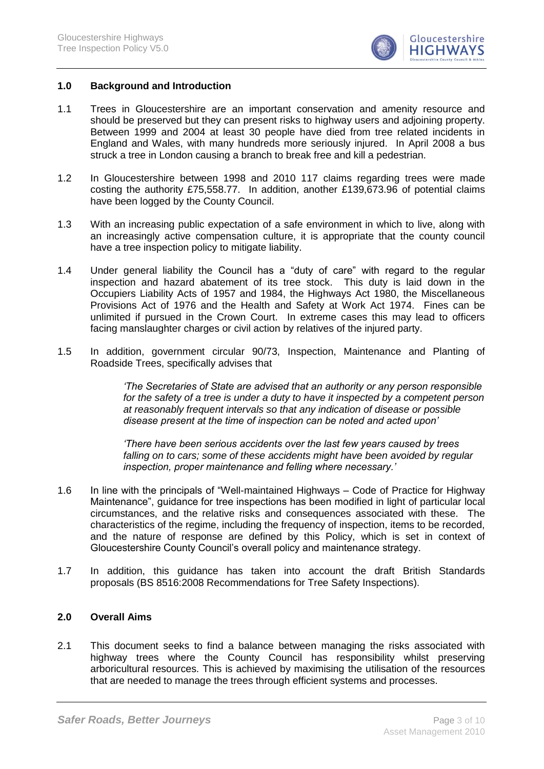

#### **1.0 Background and Introduction**

- 1.1 Trees in Gloucestershire are an important conservation and amenity resource and should be preserved but they can present risks to highway users and adjoining property. Between 1999 and 2004 at least 30 people have died from tree related incidents in England and Wales, with many hundreds more seriously injured. In April 2008 a bus struck a tree in London causing a branch to break free and kill a pedestrian.
- 1.2 In Gloucestershire between 1998 and 2010 117 claims regarding trees were made costing the authority £75,558.77. In addition, another £139,673.96 of potential claims have been logged by the County Council.
- 1.3 With an increasing public expectation of a safe environment in which to live, along with an increasingly active compensation culture, it is appropriate that the county council have a tree inspection policy to mitigate liability.
- 1.4 Under general liability the Council has a "duty of care" with regard to the regular inspection and hazard abatement of its tree stock. This duty is laid down in the Occupiers Liability Acts of 1957 and 1984, the Highways Act 1980, the Miscellaneous Provisions Act of 1976 and the Health and Safety at Work Act 1974. Fines can be unlimited if pursued in the Crown Court. In extreme cases this may lead to officers facing manslaughter charges or civil action by relatives of the injured party.
- 1.5 In addition, government circular 90/73, Inspection, Maintenance and Planting of Roadside Trees, specifically advises that

*'The Secretaries of State are advised that an authority or any person responsible for the safety of a tree is under a duty to have it inspected by a competent person at reasonably frequent intervals so that any indication of disease or possible disease present at the time of inspection can be noted and acted upon'*

*'There have been serious accidents over the last few years caused by trees*  falling on to cars; some of these accidents might have been avoided by regular *inspection, proper maintenance and felling where necessary.'*

- 1.6 In line with the principals of "Well-maintained Highways Code of Practice for Highway Maintenance", guidance for tree inspections has been modified in light of particular local circumstances, and the relative risks and consequences associated with these. The characteristics of the regime, including the frequency of inspection, items to be recorded, and the nature of response are defined by this Policy, which is set in context of Gloucestershire County Council"s overall policy and maintenance strategy.
- 1.7 In addition, this guidance has taken into account the draft British Standards proposals (BS 8516:2008 Recommendations for Tree Safety Inspections).

## **2.0 Overall Aims**

2.1 This document seeks to find a balance between managing the risks associated with highway trees where the County Council has responsibility whilst preserving arboricultural resources. This is achieved by maximising the utilisation of the resources that are needed to manage the trees through efficient systems and processes.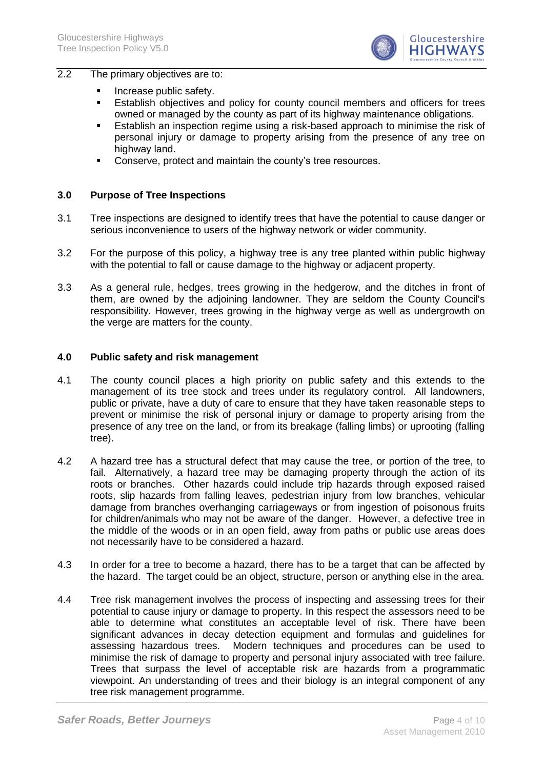

#### 2.2 The primary objectives are to:

- **Increase public safety.**
- Establish objectives and policy for county council members and officers for trees owned or managed by the county as part of its highway maintenance obligations.
- Establish an inspection regime using a risk-based approach to minimise the risk of personal injury or damage to property arising from the presence of any tree on highway land.
- Conserve, protect and maintain the county"s tree resources.

## **3.0 Purpose of Tree Inspections**

- 3.1 Tree inspections are designed to identify trees that have the potential to cause danger or serious inconvenience to users of the highway network or wider community.
- 3.2 For the purpose of this policy, a highway tree is any tree planted within public highway with the potential to fall or cause damage to the highway or adjacent property.
- 3.3 As a general rule, hedges, trees growing in the hedgerow, and the ditches in front of them, are owned by the adjoining landowner. They are seldom the County Council's responsibility. However, trees growing in the highway verge as well as undergrowth on the verge are matters for the county.

#### **4.0 Public safety and risk management**

- 4.1 The county council places a high priority on public safety and this extends to the management of its tree stock and trees under its regulatory control. All landowners, public or private, have a duty of care to ensure that they have taken reasonable steps to prevent or minimise the risk of personal injury or damage to property arising from the presence of any tree on the land, or from its breakage (falling limbs) or uprooting (falling tree).
- 4.2 A hazard tree has a structural defect that may cause the tree, or portion of the tree, to fail. Alternatively, a hazard tree may be damaging property through the action of its roots or branches. Other hazards could include trip hazards through exposed raised roots, slip hazards from falling leaves, pedestrian injury from low branches, vehicular damage from branches overhanging carriageways or from ingestion of poisonous fruits for children/animals who may not be aware of the danger. However, a defective tree in the middle of the woods or in an open field, away from paths or public use areas does not necessarily have to be considered a hazard.
- 4.3 In order for a tree to become a hazard, there has to be a target that can be affected by the hazard. The target could be an object, structure, person or anything else in the area.
- 4.4 Tree risk management involves the process of inspecting and assessing trees for their potential to cause injury or damage to property. In this respect the assessors need to be able to determine what constitutes an acceptable level of risk. There have been significant advances in decay detection equipment and formulas and guidelines for assessing hazardous trees. Modern techniques and procedures can be used to minimise the risk of damage to property and personal injury associated with tree failure. Trees that surpass the level of acceptable risk are hazards from a programmatic viewpoint. An understanding of trees and their biology is an integral component of any tree risk management programme.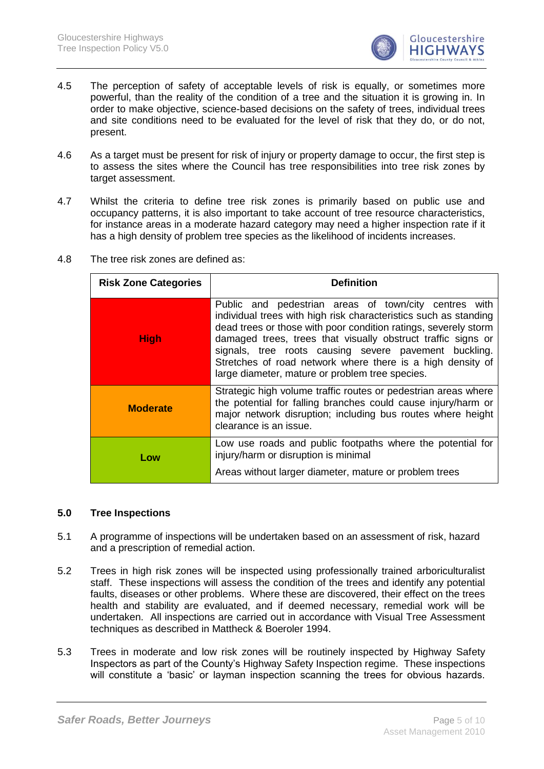

- 4.5 The perception of safety of acceptable levels of risk is equally, or sometimes more powerful, than the reality of the condition of a tree and the situation it is growing in. In order to make objective, science-based decisions on the safety of trees, individual trees and site conditions need to be evaluated for the level of risk that they do, or do not, present.
- 4.6 As a target must be present for risk of injury or property damage to occur, the first step is to assess the sites where the Council has tree responsibilities into tree risk zones by target assessment.
- 4.7 Whilst the criteria to define tree risk zones is primarily based on public use and occupancy patterns, it is also important to take account of tree resource characteristics, for instance areas in a moderate hazard category may need a higher inspection rate if it has a high density of problem tree species as the likelihood of incidents increases.

| <b>Risk Zone Categories</b> | <b>Definition</b>                                                                                                                                                                                                                                                                                                                                                                                                                      |  |  |
|-----------------------------|----------------------------------------------------------------------------------------------------------------------------------------------------------------------------------------------------------------------------------------------------------------------------------------------------------------------------------------------------------------------------------------------------------------------------------------|--|--|
| <b>High</b>                 | Public and pedestrian areas of town/city centres with<br>individual trees with high risk characteristics such as standing<br>dead trees or those with poor condition ratings, severely storm<br>damaged trees, trees that visually obstruct traffic signs or<br>signals, tree roots causing severe pavement buckling.<br>Stretches of road network where there is a high density of<br>large diameter, mature or problem tree species. |  |  |
| <b>Moderate</b>             | Strategic high volume traffic routes or pedestrian areas where<br>the potential for falling branches could cause injury/harm or<br>major network disruption; including bus routes where height<br>clearance is an issue.                                                                                                                                                                                                               |  |  |
| Low                         | Low use roads and public footpaths where the potential for<br>injury/harm or disruption is minimal<br>Areas without larger diameter, mature or problem trees                                                                                                                                                                                                                                                                           |  |  |

4.8 The tree risk zones are defined as:

# **5.0 Tree Inspections**

- 5.1 A programme of inspections will be undertaken based on an assessment of risk, hazard and a prescription of remedial action.
- 5.2 Trees in high risk zones will be inspected using professionally trained arboriculturalist staff. These inspections will assess the condition of the trees and identify any potential faults, diseases or other problems. Where these are discovered, their effect on the trees health and stability are evaluated, and if deemed necessary, remedial work will be undertaken. All inspections are carried out in accordance with Visual Tree Assessment techniques as described in Mattheck & Boeroler 1994.
- 5.3 Trees in moderate and low risk zones will be routinely inspected by Highway Safety Inspectors as part of the County"s Highway Safety Inspection regime. These inspections will constitute a 'basic' or layman inspection scanning the trees for obvious hazards.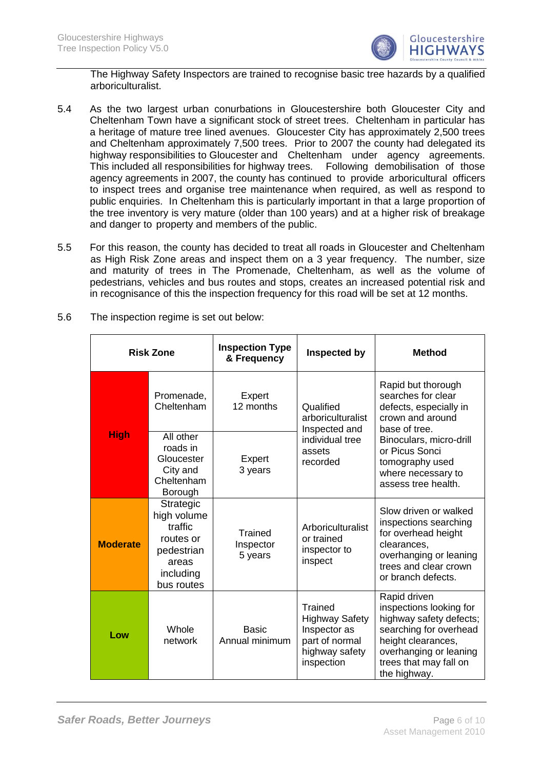

The Highway Safety Inspectors are trained to recognise basic tree hazards by a qualified arboriculturalist.

- 5.4 As the two largest urban conurbations in Gloucestershire both Gloucester City and Cheltenham Town have a significant stock of street trees. Cheltenham in particular has a heritage of mature tree lined avenues. Gloucester City has approximately 2,500 trees and Cheltenham approximately 7,500 trees. Prior to 2007 the county had delegated its highway responsibilities to Gloucester and Cheltenham under agency agreements. This included all responsibilities for highway trees. Following demobilisation of those agency agreements in 2007, the county has continued to provide arboricultural officers to inspect trees and organise tree maintenance when required, as well as respond to public enquiries. In Cheltenham this is particularly important in that a large proportion of the tree inventory is very mature (older than 100 years) and at a higher risk of breakage and danger to property and members of the public.
- 5.5 For this reason, the county has decided to treat all roads in Gloucester and Cheltenham as High Risk Zone areas and inspect them on a 3 year frequency. The number, size and maturity of trees in The Promenade, Cheltenham, as well as the volume of pedestrians, vehicles and bus routes and stops, creates an increased potential risk and in recognisance of this the inspection frequency for this road will be set at 12 months.

| <b>Risk Zone</b> |                                                                                                    | <b>Inspection Type</b><br>& Frequency | Inspected by                                                                                       | <b>Method</b>                                                                                                                                                                          |  |
|------------------|----------------------------------------------------------------------------------------------------|---------------------------------------|----------------------------------------------------------------------------------------------------|----------------------------------------------------------------------------------------------------------------------------------------------------------------------------------------|--|
| <b>High</b>      | Promenade,<br>Cheltenham                                                                           | Expert<br>12 months                   | Qualified<br>arboriculturalist<br>Inspected and                                                    | Rapid but thorough<br>searches for clear<br>defects, especially in<br>crown and around<br>base of tree.                                                                                |  |
|                  | All other<br>roads in<br>Gloucester<br>City and<br>Cheltenham<br>Borough                           | Expert<br>3 years                     | individual tree<br>assets<br>recorded                                                              | Binoculars, micro-drill<br>or Picus Sonci<br>tomography used<br>where necessary to<br>assess tree health.                                                                              |  |
| <b>Moderate</b>  | Strategic<br>high volume<br>traffic<br>routes or<br>pedestrian<br>areas<br>including<br>bus routes | Trained<br>Inspector<br>5 years       | Arboriculturalist<br>or trained<br>inspector to<br>inspect                                         | Slow driven or walked<br>inspections searching<br>for overhead height<br>clearances,<br>overhanging or leaning<br>trees and clear crown<br>or branch defects.                          |  |
| Low              | Whole<br>network                                                                                   | <b>Basic</b><br>Annual minimum        | Trained<br><b>Highway Safety</b><br>Inspector as<br>part of normal<br>highway safety<br>inspection | Rapid driven<br>inspections looking for<br>highway safety defects;<br>searching for overhead<br>height clearances,<br>overhanging or leaning<br>trees that may fall on<br>the highway. |  |

5.6 The inspection regime is set out below: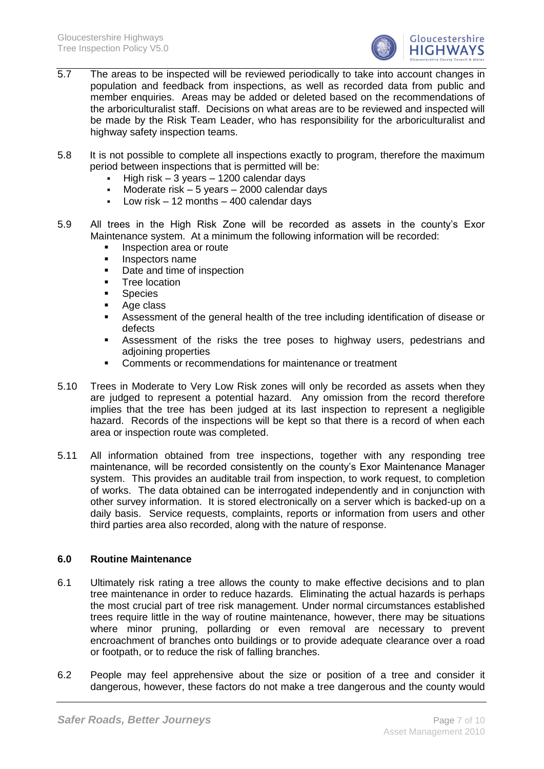

- 5.7 The areas to be inspected will be reviewed periodically to take into account changes in population and feedback from inspections, as well as recorded data from public and member enquiries. Areas may be added or deleted based on the recommendations of the arboriculturalist staff. Decisions on what areas are to be reviewed and inspected will be made by the Risk Team Leader, who has responsibility for the arboriculturalist and highway safety inspection teams.
- 5.8 It is not possible to complete all inspections exactly to program, therefore the maximum period between inspections that is permitted will be:
	- High risk 3 years 1200 calendar days
	- Moderate risk 5 years 2000 calendar days
	- **Low risk 12 months 400 calendar days**
- 5.9 All trees in the High Risk Zone will be recorded as assets in the county"s Exor Maintenance system. At a minimum the following information will be recorded:
	- **Inspection area or route**
	- **Inspectors name**
	- Date and time of inspection
	- Tree location
	- Species
	- Age class
	- Assessment of the general health of the tree including identification of disease or defects
	- Assessment of the risks the tree poses to highway users, pedestrians and adjoining properties
	- **EXECOMMENT COMMENTS OF THEORY FOR THE COMMENT COMMENT**
- 5.10 Trees in Moderate to Very Low Risk zones will only be recorded as assets when they are judged to represent a potential hazard. Any omission from the record therefore implies that the tree has been judged at its last inspection to represent a negligible hazard. Records of the inspections will be kept so that there is a record of when each area or inspection route was completed.
- 5.11 All information obtained from tree inspections, together with any responding tree maintenance, will be recorded consistently on the county"s Exor Maintenance Manager system. This provides an auditable trail from inspection, to work request, to completion of works. The data obtained can be interrogated independently and in conjunction with other survey information. It is stored electronically on a server which is backed-up on a daily basis. Service requests, complaints, reports or information from users and other third parties area also recorded, along with the nature of response.

# **6.0 Routine Maintenance**

- 6.1 Ultimately risk rating a tree allows the county to make effective decisions and to plan tree maintenance in order to reduce hazards. Eliminating the actual hazards is perhaps the most crucial part of tree risk management. Under normal circumstances established trees require little in the way of routine maintenance, however, there may be situations where minor pruning, pollarding or even removal are necessary to prevent encroachment of branches onto buildings or to provide adequate clearance over a road or footpath, or to reduce the risk of falling branches.
- 6.2 People may feel apprehensive about the size or position of a tree and consider it dangerous, however, these factors do not make a tree dangerous and the county would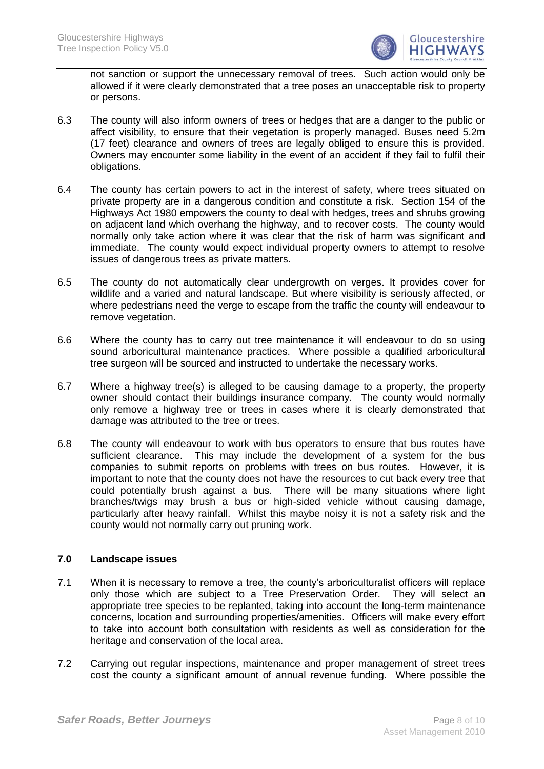

not sanction or support the unnecessary removal of trees. Such action would only be allowed if it were clearly demonstrated that a tree poses an unacceptable risk to property or persons.

- 6.3 The county will also inform owners of trees or hedges that are a danger to the public or affect visibility, to ensure that their vegetation is properly managed. Buses need 5.2m (17 feet) clearance and owners of trees are legally obliged to ensure this is provided. Owners may encounter some liability in the event of an accident if they fail to fulfil their obligations.
- 6.4 The county has certain powers to act in the interest of safety, where trees situated on private property are in a dangerous condition and constitute a risk. Section 154 of the Highways Act 1980 empowers the county to deal with hedges, trees and shrubs growing on adjacent land which overhang the highway, and to recover costs. The county would normally only take action where it was clear that the risk of harm was significant and immediate. The county would expect individual property owners to attempt to resolve issues of dangerous trees as private matters.
- 6.5 The county do not automatically clear undergrowth on verges. It provides cover for wildlife and a varied and natural landscape. But where visibility is seriously affected, or where pedestrians need the verge to escape from the traffic the county will endeavour to remove vegetation.
- 6.6 Where the county has to carry out tree maintenance it will endeavour to do so using sound arboricultural maintenance practices. Where possible a qualified arboricultural tree surgeon will be sourced and instructed to undertake the necessary works.
- 6.7 Where a highway tree(s) is alleged to be causing damage to a property, the property owner should contact their buildings insurance company. The county would normally only remove a highway tree or trees in cases where it is clearly demonstrated that damage was attributed to the tree or trees.
- 6.8 The county will endeavour to work with bus operators to ensure that bus routes have sufficient clearance. This may include the development of a system for the bus companies to submit reports on problems with trees on bus routes. However, it is important to note that the county does not have the resources to cut back every tree that could potentially brush against a bus. There will be many situations where light branches/twigs may brush a bus or high-sided vehicle without causing damage, particularly after heavy rainfall. Whilst this maybe noisy it is not a safety risk and the county would not normally carry out pruning work.

# **7.0 Landscape issues**

- 7.1 When it is necessary to remove a tree, the county's arboriculturalist officers will replace only those which are subject to a Tree Preservation Order. They will select an appropriate tree species to be replanted, taking into account the long-term maintenance concerns, location and surrounding properties/amenities. Officers will make every effort to take into account both consultation with residents as well as consideration for the heritage and conservation of the local area.
- 7.2 Carrying out regular inspections, maintenance and proper management of street trees cost the county a significant amount of annual revenue funding. Where possible the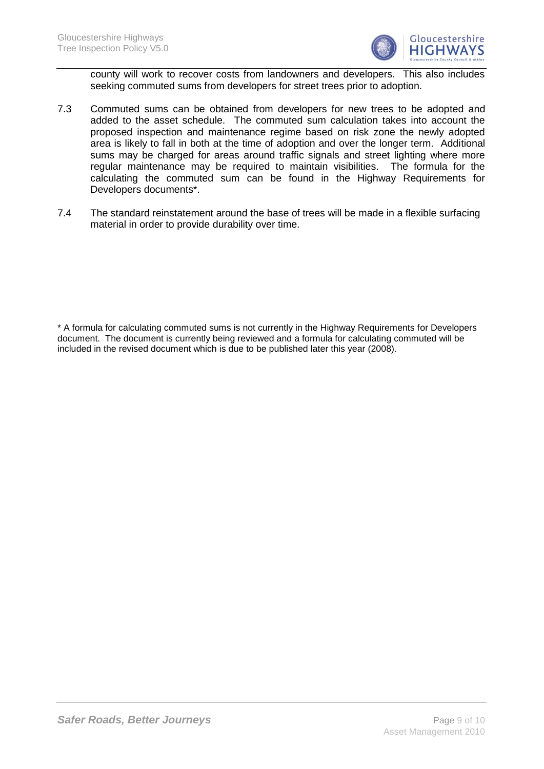

county will work to recover costs from landowners and developers. This also includes seeking commuted sums from developers for street trees prior to adoption.

- 7.3 Commuted sums can be obtained from developers for new trees to be adopted and added to the asset schedule. The commuted sum calculation takes into account the proposed inspection and maintenance regime based on risk zone the newly adopted area is likely to fall in both at the time of adoption and over the longer term. Additional sums may be charged for areas around traffic signals and street lighting where more regular maintenance may be required to maintain visibilities. The formula for the calculating the commuted sum can be found in the Highway Requirements for Developers documents\*.
- 7.4 The standard reinstatement around the base of trees will be made in a flexible surfacing material in order to provide durability over time.

\* A formula for calculating commuted sums is not currently in the Highway Requirements for Developers document. The document is currently being reviewed and a formula for calculating commuted will be included in the revised document which is due to be published later this year (2008).